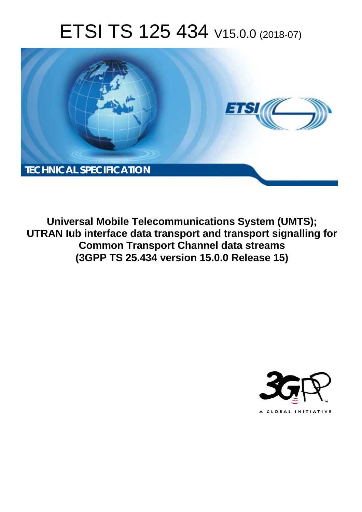# ETSI TS 125 434 V15.0.0 (2018-07)



**Universal Mobile Telecommunications System (UMTS); UTRAN Iub interface data transport and transport signalling for Common Transport Channel data streams (3GPP TS 25.434 version 15.0.0 Release 15)** 

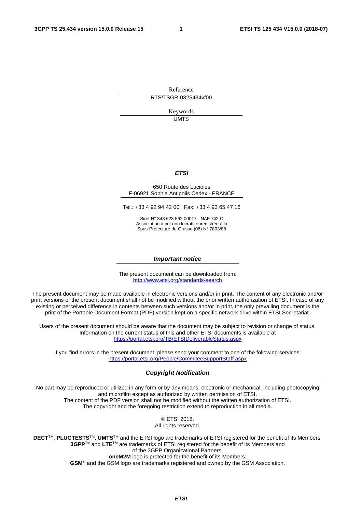Reference RTS/TSGR-0325434vf00

> Keywords UMTS

#### *ETSI*

#### 650 Route des Lucioles F-06921 Sophia Antipolis Cedex - FRANCE

Tel.: +33 4 92 94 42 00 Fax: +33 4 93 65 47 16

Siret N° 348 623 562 00017 - NAF 742 C Association à but non lucratif enregistrée à la Sous-Préfecture de Grasse (06) N° 7803/88

#### *Important notice*

The present document can be downloaded from: <http://www.etsi.org/standards-search>

The present document may be made available in electronic versions and/or in print. The content of any electronic and/or print versions of the present document shall not be modified without the prior written authorization of ETSI. In case of any existing or perceived difference in contents between such versions and/or in print, the only prevailing document is the print of the Portable Document Format (PDF) version kept on a specific network drive within ETSI Secretariat.

Users of the present document should be aware that the document may be subject to revision or change of status. Information on the current status of this and other ETSI documents is available at <https://portal.etsi.org/TB/ETSIDeliverableStatus.aspx>

If you find errors in the present document, please send your comment to one of the following services: <https://portal.etsi.org/People/CommiteeSupportStaff.aspx>

#### *Copyright Notification*

No part may be reproduced or utilized in any form or by any means, electronic or mechanical, including photocopying and microfilm except as authorized by written permission of ETSI. The content of the PDF version shall not be modified without the written authorization of ETSI. The copyright and the foregoing restriction extend to reproduction in all media.

> © ETSI 2018. All rights reserved.

**DECT**TM, **PLUGTESTS**TM, **UMTS**TM and the ETSI logo are trademarks of ETSI registered for the benefit of its Members. **3GPP**TM and **LTE**TM are trademarks of ETSI registered for the benefit of its Members and of the 3GPP Organizational Partners. **oneM2M** logo is protected for the benefit of its Members.

**GSM**® and the GSM logo are trademarks registered and owned by the GSM Association.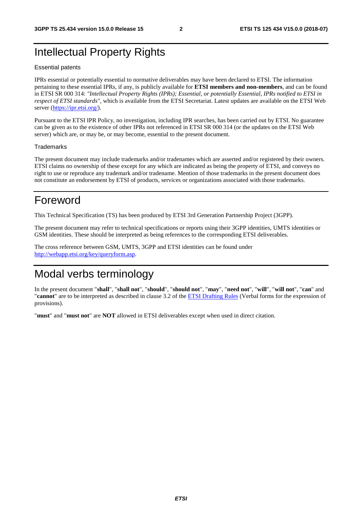### Intellectual Property Rights

#### Essential patents

IPRs essential or potentially essential to normative deliverables may have been declared to ETSI. The information pertaining to these essential IPRs, if any, is publicly available for **ETSI members and non-members**, and can be found in ETSI SR 000 314: *"Intellectual Property Rights (IPRs); Essential, or potentially Essential, IPRs notified to ETSI in respect of ETSI standards"*, which is available from the ETSI Secretariat. Latest updates are available on the ETSI Web server ([https://ipr.etsi.org/\)](https://ipr.etsi.org/).

Pursuant to the ETSI IPR Policy, no investigation, including IPR searches, has been carried out by ETSI. No guarantee can be given as to the existence of other IPRs not referenced in ETSI SR 000 314 (or the updates on the ETSI Web server) which are, or may be, or may become, essential to the present document.

#### **Trademarks**

The present document may include trademarks and/or tradenames which are asserted and/or registered by their owners. ETSI claims no ownership of these except for any which are indicated as being the property of ETSI, and conveys no right to use or reproduce any trademark and/or tradename. Mention of those trademarks in the present document does not constitute an endorsement by ETSI of products, services or organizations associated with those trademarks.

### Foreword

This Technical Specification (TS) has been produced by ETSI 3rd Generation Partnership Project (3GPP).

The present document may refer to technical specifications or reports using their 3GPP identities, UMTS identities or GSM identities. These should be interpreted as being references to the corresponding ETSI deliverables.

The cross reference between GSM, UMTS, 3GPP and ETSI identities can be found under [http://webapp.etsi.org/key/queryform.asp.](http://webapp.etsi.org/key/queryform.asp)

### Modal verbs terminology

In the present document "**shall**", "**shall not**", "**should**", "**should not**", "**may**", "**need not**", "**will**", "**will not**", "**can**" and "**cannot**" are to be interpreted as described in clause 3.2 of the [ETSI Drafting Rules](https://portal.etsi.org/Services/editHelp!/Howtostart/ETSIDraftingRules.aspx) (Verbal forms for the expression of provisions).

"**must**" and "**must not**" are **NOT** allowed in ETSI deliverables except when used in direct citation.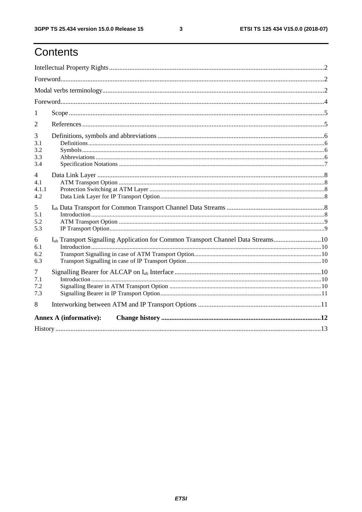# Contents

| 1                                                                                     |  |  |  |  |  |  |  |
|---------------------------------------------------------------------------------------|--|--|--|--|--|--|--|
| 2                                                                                     |  |  |  |  |  |  |  |
| 3                                                                                     |  |  |  |  |  |  |  |
| 3.1                                                                                   |  |  |  |  |  |  |  |
| 3.2<br>3.3                                                                            |  |  |  |  |  |  |  |
| 3.4                                                                                   |  |  |  |  |  |  |  |
| $\overline{4}$                                                                        |  |  |  |  |  |  |  |
| 4.1                                                                                   |  |  |  |  |  |  |  |
| 4.1.1                                                                                 |  |  |  |  |  |  |  |
| 4.2                                                                                   |  |  |  |  |  |  |  |
| 5                                                                                     |  |  |  |  |  |  |  |
| 5.1                                                                                   |  |  |  |  |  |  |  |
| 5.2                                                                                   |  |  |  |  |  |  |  |
| 5.3                                                                                   |  |  |  |  |  |  |  |
| Iub Transport Signalling Application for Common Transport Channel Data Streams10<br>6 |  |  |  |  |  |  |  |
| 6.1<br>6.2                                                                            |  |  |  |  |  |  |  |
|                                                                                       |  |  |  |  |  |  |  |
| 6.3                                                                                   |  |  |  |  |  |  |  |
| 7<br>7.1                                                                              |  |  |  |  |  |  |  |
|                                                                                       |  |  |  |  |  |  |  |
| 7.2<br>7.3                                                                            |  |  |  |  |  |  |  |
|                                                                                       |  |  |  |  |  |  |  |
| 8                                                                                     |  |  |  |  |  |  |  |
| <b>Annex A (informative):</b>                                                         |  |  |  |  |  |  |  |
|                                                                                       |  |  |  |  |  |  |  |

 $\mathbf{3}$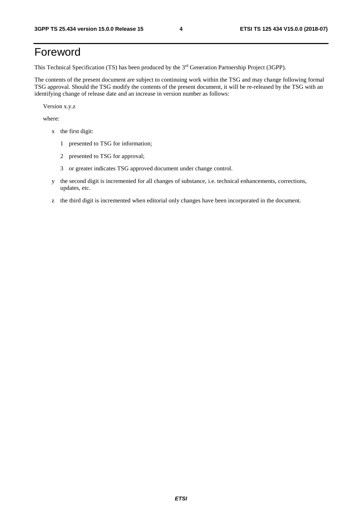# Foreword

This Technical Specification (TS) has been produced by the 3rd Generation Partnership Project (3GPP).

The contents of the present document are subject to continuing work within the TSG and may change following formal TSG approval. Should the TSG modify the contents of the present document, it will be re-released by the TSG with an identifying change of release date and an increase in version number as follows:

Version x.y.z

where:

- x the first digit:
	- 1 presented to TSG for information;
	- 2 presented to TSG for approval;
	- 3 or greater indicates TSG approved document under change control.
- y the second digit is incremented for all changes of substance, i.e. technical enhancements, corrections, updates, etc.
- z the third digit is incremented when editorial only changes have been incorporated in the document.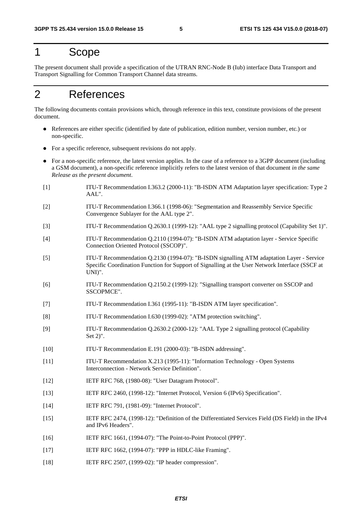### 1 Scope

The present document shall provide a specification of the UTRAN RNC-Node B (Iub) interface Data Transport and Transport Signalling for Common Transport Channel data streams.

# 2 References

The following documents contain provisions which, through reference in this text, constitute provisions of the present document.

- References are either specific (identified by date of publication, edition number, version number, etc.) or non-specific.
- For a specific reference, subsequent revisions do not apply.
- For a non-specific reference, the latest version applies. In the case of a reference to a 3GPP document (including a GSM document), a non-specific reference implicitly refers to the latest version of that document *in the same Release as the present document*.
- [1] ITU-T Recommendation I.363.2 (2000-11): "B-ISDN ATM Adaptation layer specification: Type 2 AAL".
- [2] ITU-T Recommendation I.366.1 (1998-06): "Segmentation and Reassembly Service Specific Convergence Sublayer for the AAL type 2".
- [3] ITU-T Recommendation Q.2630.1 (1999-12): "AAL type 2 signalling protocol (Capability Set 1)".
- [4] ITU-T Recommendation Q.2110 (1994-07): "B-ISDN ATM adaptation layer Service Specific Connection Oriented Protocol (SSCOP)".
- [5] ITU-T Recommendation Q.2130 (1994-07): "B-ISDN signalling ATM adaptation Layer Service Specific Coordination Function for Support of Signalling at the User Network Interface (SSCF at UNI)".
- [6] ITU-T Recommendation Q.2150.2 (1999-12): "Signalling transport converter on SSCOP and SSCOPMCE".
- [7] ITU-T Recommendation I.361 (1995-11): "B-ISDN ATM layer specification".
- [8] ITU-T Recommendation I.630 (1999-02): "ATM protection switching".
- [9] ITU-T Recommendation Q.2630.2 (2000-12): "AAL Type 2 signalling protocol (Capability Set 2)".
- [10] ITU-T Recommendation E.191 (2000-03): "B-ISDN addressing".
- [11] ITU-T Recommendation X.213 (1995-11): "Information Technology Open Systems Interconnection - Network Service Definition".
- [12] IETF RFC 768, (1980-08): "User Datagram Protocol".
- [13] IETF RFC 2460, (1998-12): "Internet Protocol, Version 6 (IPv6) Specification".
- [14] **IETF RFC 791, (1981-09): "Internet Protocol".**
- [15] IETF RFC 2474, (1998-12): "Definition of the Differentiated Services Field (DS Field) in the IPv4 and IPv6 Headers".
- [16] IETF RFC 1661, (1994-07): "The Point-to-Point Protocol (PPP)".
- [17] **IETF RFC 1662, (1994-07): "PPP in HDLC-like Framing".**
- [18] **IETF RFC 2507, (1999-02): "IP header compression".**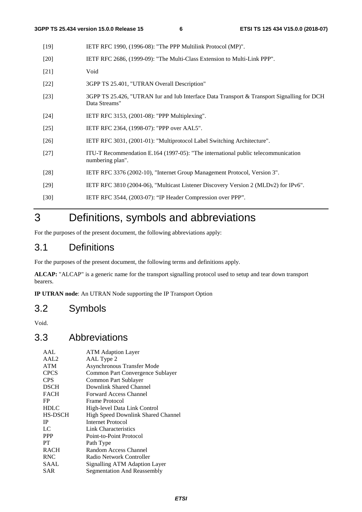- [19] IETF RFC 1990, (1996-08): "The PPP Multilink Protocol (MP)".
- [20] IETF RFC 2686, (1999-09): "The Multi-Class Extension to Multi-Link PPP".
- [21] Void
- [22] 3GPP TS 25.401, "UTRAN Overall Description"
- [23] 3GPP TS 25.426, "UTRAN Iur and Iub Interface Data Transport & Transport Signalling for DCH Data Streams"
- [24] IETF RFC 3153, (2001-08): "PPP Multiplexing".
- [25] IETF RFC 2364, (1998-07): "PPP over AAL5".
- [26] IETF RFC 3031, (2001-01): "Multiprotocol Label Switching Architecture".
- [27] ITU-T Recommendation E.164 (1997-05): "The international public telecommunication numbering plan".
- [28] IETF RFC 3376 (2002-10), "Internet Group Management Protocol, Version 3".
- [29] IETF RFC 3810 (2004-06), "Multicast Listener Discovery Version 2 (MLDv2) for IPv6".
- [30] IETF RFC 3544, (2003-07): "IP Header Compression over PPP".

# 3 Definitions, symbols and abbreviations

For the purposes of the present document, the following abbreviations apply:

#### 3.1 Definitions

For the purposes of the present document, the following terms and definitions apply.

**ALCAP:** "ALCAP" is a generic name for the transport signalling protocol used to setup and tear down transport bearers.

**IP UTRAN node**: An UTRAN Node supporting the IP Transport Option

#### 3.2 Symbols

Void.

#### 3.3 Abbreviations

| AAL              | <b>ATM Adaption Layer</b>          |
|------------------|------------------------------------|
| AAL <sub>2</sub> | AAL Type 2                         |
| <b>ATM</b>       | Asynchronous Transfer Mode         |
| <b>CPCS</b>      | Common Part Convergence Sublayer   |
| <b>CPS</b>       | Common Part Sublayer               |
| <b>DSCH</b>      | Downlink Shared Channel            |
| <b>FACH</b>      | Forward Access Channel             |
| FP               | Frame Protocol                     |
| <b>HDLC</b>      | High-level Data Link Control       |
| <b>HS-DSCH</b>   | High Speed Downlink Shared Channel |
| <b>IP</b>        | Internet Protocol                  |
| LC               | Link Characteristics               |
| <b>PPP</b>       | Point-to-Point Protocol            |
| PT               | Path Type                          |
| <b>RACH</b>      | Random Access Channel              |
| <b>RNC</b>       | Radio Network Controller           |
| SAAL             | Signalling ATM Adaption Layer      |
| SAR              | Segmentation And Reassembly        |
|                  |                                    |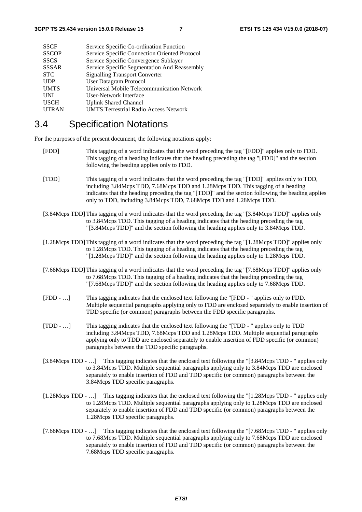| <b>SSCF</b>  | Service Specific Co-ordination Function       |
|--------------|-----------------------------------------------|
| <b>SSCOP</b> | Service Specific Connection Oriented Protocol |
| <b>SSCS</b>  | Service Specific Convergence Sublayer         |
| <b>SSSAR</b> | Service Specific Segmentation And Reassembly  |
| <b>STC</b>   | <b>Signalling Transport Converter</b>         |
| <b>UDP</b>   | <b>User Datagram Protocol</b>                 |
| <b>UMTS</b>  | Universal Mobile Telecommunication Network    |
| <b>UNI</b>   | User-Network Interface                        |
| <b>USCH</b>  | <b>Uplink Shared Channel</b>                  |
| <b>UTRAN</b> | <b>UMTS Terrestrial Radio Access Network</b>  |
|              |                                               |

#### 3.4 Specification Notations

For the purposes of the present document, the following notations apply:

- [FDD] This tagging of a word indicates that the word preceding the tag "[FDD]" applies only to FDD. This tagging of a heading indicates that the heading preceding the tag "[FDD]" and the section following the heading applies only to FDD.
- [TDD] This tagging of a word indicates that the word preceding the tag "[TDD]" applies only to TDD, including 3.84Mcps TDD, 7.68Mcps TDD and 1.28Mcps TDD. This tagging of a heading indicates that the heading preceding the tag "[TDD]" and the section following the heading applies only to TDD, including 3.84Mcps TDD, 7.68Mcps TDD and 1.28Mcps TDD.
- [3.84Mcps TDD] This tagging of a word indicates that the word preceding the tag "[3.84Mcps TDD]" applies only to 3.84Mcps TDD. This tagging of a heading indicates that the heading preceding the tag "[3.84Mcps TDD]" and the section following the heading applies only to 3.84Mcps TDD.
- [1.28Mcps TDD] This tagging of a word indicates that the word preceding the tag "[1.28Mcps TDD]" applies only to 1.28Mcps TDD. This tagging of a heading indicates that the heading preceding the tag "[1.28Mcps TDD]" and the section following the heading applies only to 1.28Mcps TDD.
- [7.68Mcps TDD] This tagging of a word indicates that the word preceding the tag "[7.68Mcps TDD]" applies only to 7.68Mcps TDD. This tagging of a heading indicates that the heading preceding the tag "[7.68Mcps TDD]" and the section following the heading applies only to 7.68Mcps TDD.
- [FDD …] This tagging indicates that the enclosed text following the "[FDD " applies only to FDD. Multiple sequential paragraphs applying only to FDD are enclosed separately to enable insertion of TDD specific (or common) paragraphs between the FDD specific paragraphs.
- [TDD …] This tagging indicates that the enclosed text following the "[TDD " applies only to TDD including 3.84Mcps TDD, 7.68Mcps TDD and 1.28Mcps TDD. Multiple sequential paragraphs applying only to TDD are enclosed separately to enable insertion of FDD specific (or common) paragraphs between the TDD specific paragraphs.
- [3.84Mcps TDD …] This tagging indicates that the enclosed text following the "[3.84Mcps TDD " applies only to 3.84Mcps TDD. Multiple sequential paragraphs applying only to 3.84Mcps TDD are enclosed separately to enable insertion of FDD and TDD specific (or common) paragraphs between the 3.84Mcps TDD specific paragraphs.
- [1.28Mcps TDD …] This tagging indicates that the enclosed text following the "[1.28Mcps TDD " applies only to 1.28Mcps TDD. Multiple sequential paragraphs applying only to 1.28Mcps TDD are enclosed separately to enable insertion of FDD and TDD specific (or common) paragraphs between the 1.28Mcps TDD specific paragraphs.
- [7.68Mcps TDD ...] This tagging indicates that the enclosed text following the "[7.68Mcps TDD " applies only to 7.68Mcps TDD. Multiple sequential paragraphs applying only to 7.68Mcps TDD are enclosed separately to enable insertion of FDD and TDD specific (or common) paragraphs between the 7.68Mcps TDD specific paragraphs.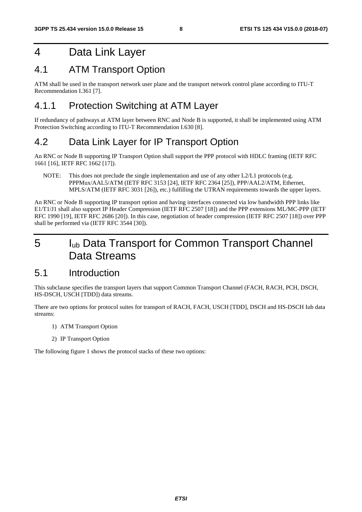### 4 Data Link Layer

#### 4.1 ATM Transport Option

ATM shall be used in the transport network user plane and the transport network control plane according to ITU-T Recommendation I.361 [7].

#### 4.1.1 Protection Switching at ATM Layer

If redundancy of pathways at ATM layer between RNC and Node B is supported, it shall be implemented using ATM Protection Switching according to ITU-T Recommendation I.630 [8].

### 4.2 Data Link Layer for IP Transport Option

An RNC or Node B supporting IP Transport Option shall support the PPP protocol with HDLC framing (IETF RFC 1661 [16], IETF RFC 1662 [17]).

NOTE: This does not preclude the single implementation and use of any other L2/L1 protocols (e.g. PPPMux/AAL5/ATM (IETF RFC 3153 [24], IETF RFC 2364 [25]), PPP/AAL2/ATM, Ethernet, MPLS/ATM (IETF RFC 3031 [26]), etc.) fulfilling the UTRAN requirements towards the upper layers.

An RNC or Node B supporting IP transport option and having interfaces connected via low bandwidth PPP links like E1/T1/J1 shall also support IP Header Compression (IETF RFC 2507 [18]) and the PPP extensions ML/MC-PPP (IETF RFC 1990 [19], IETF RFC 2686 [20]). In this case, negotiation of header compression (IETF RFC 2507 [18]) over PPP shall be performed via (IETF RFC 3544 [30]).

# 5 Iub Data Transport for Common Transport Channel Data Streams

#### 5.1 Introduction

This subclause specifies the transport layers that support Common Transport Channel (FACH, RACH, PCH, DSCH, HS-DSCH, USCH [TDD]) data streams.

There are two options for protocol suites for transport of RACH, FACH, USCH [TDD], DSCH and HS-DSCH Iub data streams:

- 1) ATM Transport Option
- 2) IP Transport Option

The following figure 1 shows the protocol stacks of these two options: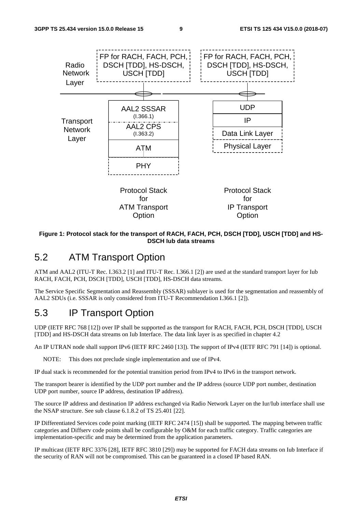

#### **Figure 1: Protocol stack for the transport of RACH, FACH, PCH, DSCH [TDD], USCH [TDD] and HS-DSCH Iub data streams**

#### 5.2 ATM Transport Option

ATM and AAL2 (ITU-T Rec. I.363.2 [1] and ITU-T Rec. I.366.1 [2]) are used at the standard transport layer for Iub RACH, FACH, PCH, DSCH [TDD], USCH [TDD], HS-DSCH data streams.

The Service Specific Segmentation and Reassembly (SSSAR) sublayer is used for the segmentation and reassembly of AAL2 SDUs (i.e. SSSAR is only considered from ITU-T Recommendation I.366.1 [2]).

#### 5.3 IP Transport Option

UDP (IETF RFC 768 [12]) over IP shall be supported as the transport for RACH, FACH, PCH, DSCH [TDD], USCH [TDD] and HS-DSCH data streams on Iub Interface. The data link layer is as specified in chapter 4.2

An IP UTRAN node shall support IPv6 (IETF RFC 2460 [13]). The support of IPv4 (IETF RFC 791 [14]) is optional.

NOTE: This does not preclude single implementation and use of IPv4.

IP dual stack is recommended for the potential transition period from IPv4 to IPv6 in the transport network.

The transport bearer is identified by the UDP port number and the IP address (source UDP port number, destination UDP port number, source IP address, destination IP address).

The source IP address and destination IP address exchanged via Radio Network Layer on the Iur/Iub interface shall use the NSAP structure. See sub clause 6.1.8.2 of TS 25.401 [22].

IP Differentiated Services code point marking (IETF RFC 2474 [15]) shall be supported. The mapping between traffic categories and Diffserv code points shall be configurable by O&M for each traffic category. Traffic categories are implementation-specific and may be determined from the application parameters.

IP multicast (IETF RFC 3376 [28], IETF RFC 3810 [29]) may be supported for FACH data streams on Iub Interface if the security of RAN will not be compromised. This can be guaranteed in a closed IP based RAN.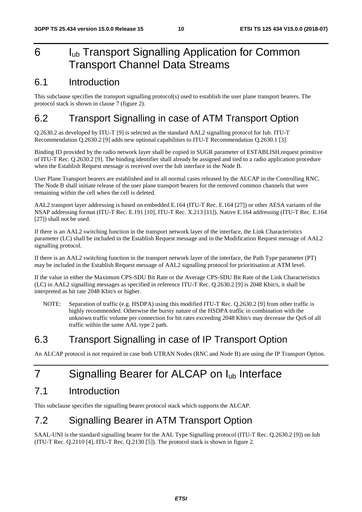# 6 I<sub>ub</sub> Transport Signalling Application for Common Transport Channel Data Streams

### 6.1 Introduction

This subclause specifies the transport signalling protocol(s) used to establish the user plane transport bearers. The protocol stack is shown in clause 7 (figure 2).

### 6.2 Transport Signalling in case of ATM Transport Option

Q.2630.2 as developed by ITU-T [9] is selected as the standard AAL2 signalling protocol for Iub. ITU-T Recommendation Q.2630.2 [9] adds new optional capabilities to ITU-T Recommendation Q.2630.1 [3].

Binding ID provided by the radio network layer shall be copied in SUGR parameter of ESTABLISH.request primitive of ITU-T Rec. Q.2630.2 [9]. The binding identifier shall already be assigned and tied to a radio application procedure when the Establish Request message is received over the Iub interface in the Node B.

User Plane Transport bearers are established and in all normal cases released by the ALCAP in the Controlling RNC. The Node B shall initiate release of the user plane transport bearers for the removed common channels that were remaining within the cell when the cell is deleted.

AAL2 transport layer addressing is based on embedded E.164 (ITU-T Rec. E.164 [27]) or other AESA variants of the NSAP addressing format (ITU-T Rec. E.191 [10], ITU-T Rec. X.213 [11]). Native E.164 addressing (ITU-T Rec. E.164 [27]) shall not be used.

If there is an AAL2 switching function in the transport network layer of the interface, the Link Characteristics parameter (LC) shall be included in the Establish Request message and in the Modification Request message of AAL2 signalling protocol.

If there is an AAL2 switching function in the transport network layer of the interface, the Path Type parameter (PT) may be included in the Establish Request message of AAL2 signalling protocol for prioritisation at ATM level.

If the value in either the Maximum CPS-SDU Bit Rate or the Average CPS-SDU Bit Rate of the Link Characteristics (LC) in AAL2 signalling messages as specified in reference ITU-T Rec. Q.2630.2 [9] is 2048 Kbit/s, it shall be interpreted as bit rate 2048 Kbit/s or higher.

NOTE: Separation of traffic (e.g. HSDPA) using this modified ITU-T Rec. 0.2630.2 [9] from other traffic is highly recommended. Otherwise the bursty nature of the HSDPA traffic in combination with the unknown traffic volume per connection for bit rates exceeding 2048 Kbit/s may decrease the QoS of all traffic within the same AAL type 2 path.

### 6.3 Transport Signalling in case of IP Transport Option

An ALCAP protocol is not required in case both UTRAN Nodes (RNC and Node B) are using the IP Transport Option.

# 7 Signalling Bearer for ALCAP on I<sub>ub</sub> Interface

### 7.1 Introduction

This subclause specifies the signalling bearer protocol stack which supports the ALCAP.

# 7.2 Signalling Bearer in ATM Transport Option

SAAL-UNI is the standard signalling bearer for the AAL Type Signalling protocol (ITU-T Rec. Q.2630.2 [9]) on Iub (ITU-T Rec. Q.2110 [4], ITU-T Rec. Q.2130 [5]). The protocol stack is shown in figure 2.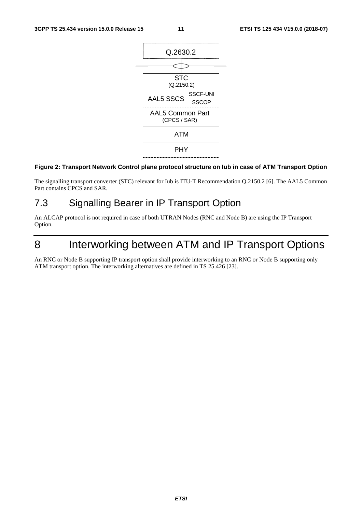

#### **Figure 2: Transport Network Control plane protocol structure on Iub in case of ATM Transport Option**

The signalling transport converter (STC) relevant for Iub is ITU-T Recommendation Q.2150.2 [6]. The AAL5 Common Part contains CPCS and SAR.

### 7.3 Signalling Bearer in IP Transport Option

An ALCAP protocol is not required in case of both UTRAN Nodes (RNC and Node B) are using the IP Transport Option.

# 8 Interworking between ATM and IP Transport Options

An RNC or Node B supporting IP transport option shall provide interworking to an RNC or Node B supporting only ATM transport option. The interworking alternatives are defined in TS 25.426 [23].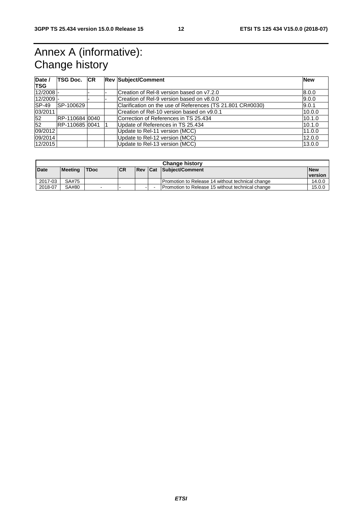# Annex A (informative): Change history

| Date /<br><b>TSG</b> | TSG Doc. ICR   |  | <b>Rev Subject/Comment</b>                                 | <b>New</b> |
|----------------------|----------------|--|------------------------------------------------------------|------------|
| $12/2008$ -          |                |  | Creation of Rel-8 version based on y7.2.0                  | 8.0.0      |
| $12/2009$ -          |                |  | Creation of Rel-9 version based on v8.0.0                  | 9.0.0      |
| $ SP-49 $            | SP-100629      |  | Clarification on the use of References (TS 21.801 CR#0030) | 9.0.1      |
| 03/2011              |                |  | Creation of Rel-10 version based on v9.0.1                 | 10.0.0     |
| 52                   | RP-110684 0040 |  | Correction of References in TS 25.434                      | 10.1.0     |
| 52                   | RP-110685 0041 |  | Update of References in TS 25.434                          | 10.1.0     |
| 09/2012              |                |  | Update to Rel-11 version (MCC)                             | 11.0.0     |
| 09/2014              |                |  | Update to Rel-12 version (MCC)                             | 12.0.0     |
| 12/2015              |                |  | Update to Rel-13 version (MCC)                             | 13.0.0     |

| <b>Change history</b> |                |                          |           |  |  |                                                    |            |
|-----------------------|----------------|--------------------------|-----------|--|--|----------------------------------------------------|------------|
| <b>Date</b>           | <b>Meeting</b> | <b>TDoc</b>              | <b>CR</b> |  |  | <b>Rev Cat Subject/Comment</b>                     | <b>New</b> |
|                       |                |                          |           |  |  |                                                    | version    |
| 2017-03               | SA#75          |                          |           |  |  | Promotion to Release 14 without technical change   | 14.0.0     |
| 2018-07               | SA#80          | $\overline{\phantom{0}}$ | -         |  |  | I Promotion to Release 15 without technical change | 15.0.0     |